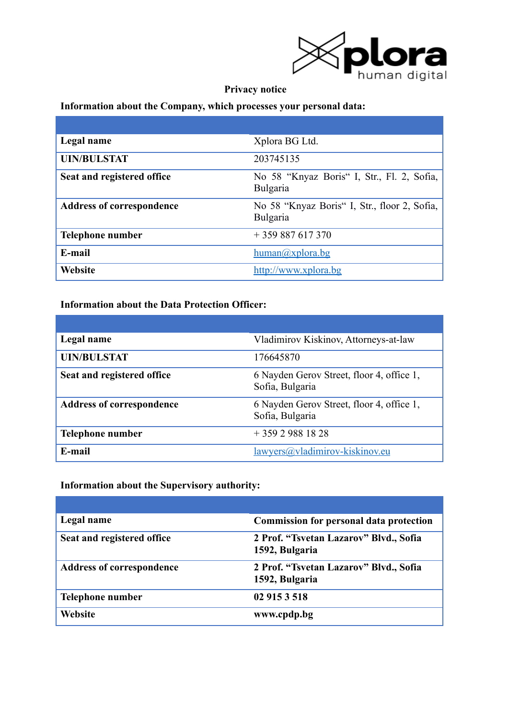

# **Privacy notice**

# **Information about the Company, which processes your personal data:**

| Legal name                       | Xplora BG Ltd.                                           |
|----------------------------------|----------------------------------------------------------|
| <b>UIN/BULSTAT</b>               | 203745135                                                |
| Seat and registered office       | No 58 "Knyaz Boris" I, Str., Fl. 2, Sofia,<br>Bulgaria   |
| <b>Address of correspondence</b> | No 58 "Knyaz Boris" I, Str., floor 2, Sofia,<br>Bulgaria |
| Telephone number                 | $+359887617370$                                          |
| E-mail                           | $human(a)$ xplora.bg                                     |
| <b>Website</b>                   | http://www.xplora.bg                                     |

# **Information about the Data Protection Officer:**

| Legal name                       | Vladimirov Kiskinov, Attorneys-at-law                        |
|----------------------------------|--------------------------------------------------------------|
| <b>UIN/BULSTAT</b>               | 176645870                                                    |
| Seat and registered office       | 6 Nayden Gerov Street, floor 4, office 1,<br>Sofia, Bulgaria |
| <b>Address of correspondence</b> | 6 Nayden Gerov Street, floor 4, office 1,<br>Sofia, Bulgaria |
| <b>Telephone number</b>          | $+35929881828$                                               |
| E-mail                           | lawyers@yladimirov-kiskinov.eu                               |

# **Information about the Supervisory authority:**

| Legal name                       | <b>Commission for personal data protection</b>           |
|----------------------------------|----------------------------------------------------------|
| Seat and registered office       | 2 Prof. "Tsvetan Lazarov" Blvd., Sofia<br>1592, Bulgaria |
| <b>Address of correspondence</b> | 2 Prof. "Tsvetan Lazarov" Blvd., Sofia<br>1592, Bulgaria |
| Telephone number                 | 02 915 3 518                                             |
| Website                          | www.cpdp.bg                                              |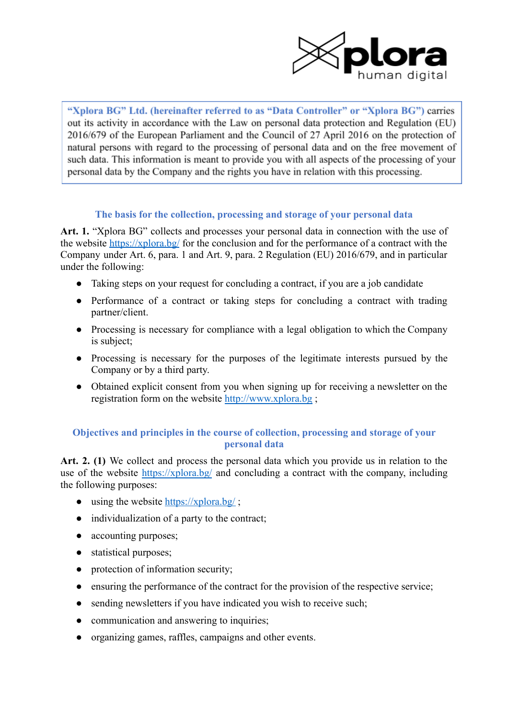

"Xplora BG" Ltd. (hereinafter referred to as "Data Controller" or "Xplora BG") carries out its activity in accordance with the Law on personal data protection and Regulation (EU) 2016/679 of the European Parliament and the Council of 27 April 2016 on the protection of natural persons with regard to the processing of personal data and on the free movement of such data. This information is meant to provide you with all aspects of the processing of your personal data by the Company and the rights you have in relation with this processing.

### **The basis for the collection, processing and storage of your personal data**

**Art. 1.** "Xplora BG" collects and processes your personal data in connection with the use of the website <https://xplora.bg/> for the conclusion and for the performance of a contract with the Company under Art. 6, para. 1 and Art. 9, para. 2 Regulation (EU) 2016/679, and in particular under the following:

- Taking steps on your request for concluding a contract, if you are a job candidate
- Performance of a contract or taking steps for concluding a contract with trading partner/client.
- Processing is necessary for compliance with a legal obligation to which the Company is subject;
- Processing is necessary for the purposes of the legitimate interests pursued by the Company or by a third party.
- Obtained explicit consent from you when signing up for receiving a newsletter on the registration form on the website <http://www.xplora.bg> ;

# **Objectives and principles in the course of collection, processing and storage of your personal data**

**Art. 2. (1)** We collect and process the personal data which you provide us in relation to the use of the website <https://xplora.bg/> and concluding a contract with the company, including the following purposes:

- using the website  $\frac{https://xplora.bg/}{$  $\frac{https://xplora.bg/}{$  $\frac{https://xplora.bg/}{$ ;
- individualization of a party to the contract;
- accounting purposes;
- statistical purposes;
- protection of information security;
- ensuring the performance of the contract for the provision of the respective service;
- sending newsletters if you have indicated you wish to receive such;
- communication and answering to inquiries;
- organizing games, raffles, campaigns and other events.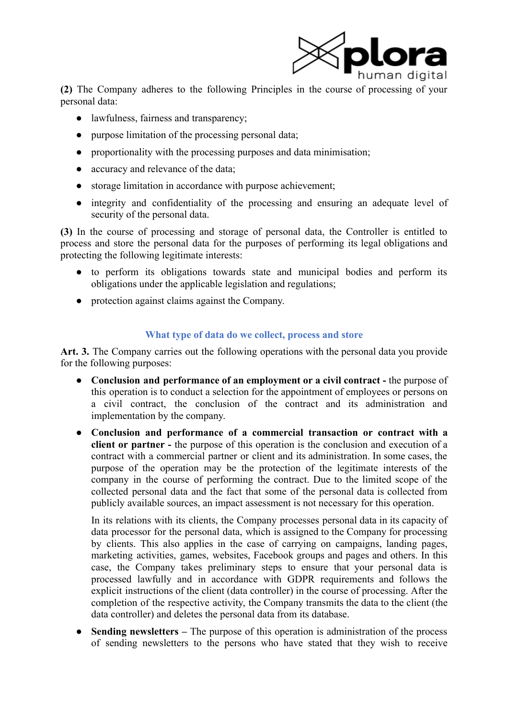

**(2)** The Company adheres to the following Principles in the course of processing of your personal data:

- lawfulness, fairness and transparency;
- purpose limitation of the processing personal data;
- proportionality with the processing purposes and data minimisation;
- accuracy and relevance of the data;
- storage limitation in accordance with purpose achievement;
- integrity and confidentiality of the processing and ensuring an adequate level of security of the personal data.

**(3)** In the course of processing and storage of personal data, the Controller is entitled to process and store the personal data for the purposes of performing its legal obligations and protecting the following legitimate interests:

- to perform its obligations towards state and municipal bodies and perform its obligations under the applicable legislation and regulations;
- protection against claims against the Company.

# **What type of data do we collect, process and store**

**Art. 3.** The Company carries out the following operations with the personal data you provide for the following purposes:

- **Conclusion and performance of an employment or a civil contract -** the purpose of this operation is to conduct a selection for the appointment of employees or persons on a civil contract, the conclusion of the contract and its administration and implementation by the company.
- **Conclusion and performance of a commercial transaction or contract with a client or partner -** the purpose of this operation is the conclusion and execution of a contract with a commercial partner or client and its administration. In some cases, the purpose of the operation may be the protection of the legitimate interests of the company in the course of performing the contract. Due to the limited scope of the collected personal data and the fact that some of the personal data is collected from publicly available sources, an impact assessment is not necessary for this operation.

In its relations with its clients, the Company processes personal data in its capacity of data processor for the personal data, which is assigned to the Company for processing by clients. This also applies in the case of carrying on campaigns, landing pages, marketing activities, games, websites, Facebook groups and pages and others. In this case, the Company takes preliminary steps to ensure that your personal data is processed lawfully and in accordance with GDPR requirements and follows the explicit instructions of the client (data controller) in the course of processing. After the completion of the respective activity, the Company transmits the data to the client (the data controller) and deletes the personal data from its database.

● **Sending newsletters –** The purpose of this operation is administration of the process of sending newsletters to the persons who have stated that they wish to receive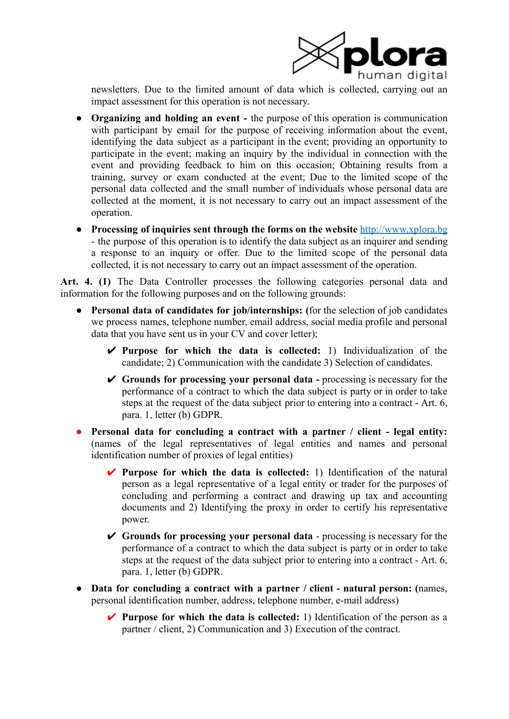

newsletters. Due to the limited amount of data which is collected, carrying out an impact assessment for this operation is not necessary.

- **Organizing and holding an event -** the purpose of this operation is communication with participant by email for the purpose of receiving information about the event, identifying the data subject as a participant in the event; providing an opportunity to participate in the event; making an inquiry by the individual in connection with the event and providing feedback to him on this occasion; Obtaining results from a training, survey or exam conducted at the event; Due to the limited scope of the personal data collected and the small number of individuals whose personal data are collected at the moment, it is not necessary to carry out an impact assessment of the operation.
- **Processing of inquiries sent through the forms on the website** http://www.xplora.bg - the purpose of this operation is to identify the data subject as an inquirer and sending a response to an inquiry or offer. Due to the limited scope of the personal data collected, it is not necessary to carry out an impact assessment of the operation.

**Art. 4. (1)** The Data Controller processes the following categories personal data and information for the following purposes and on the following grounds:

- **Personal data of candidates for job/internships: (**for the selection of job candidates we process names, telephone number, email address, social media profile and personal data that you have sent us in your CV and cover letter);
	- ✔ **Purpose for which the data is collected:** 1) Individualization of the candidate; 2) Communication with the candidate 3) Selection of candidates.
	- ✔ **Grounds for processing your personal data -** processing is necessary for the performance of a contract to which the data subject is party or in order to take steps at the request of the data subject prior to entering into a contract - Art. 6, para. 1, letter (b) GDPR.
- **Personal data for concluding a contract with a partner / client - legal entity:** (names of the legal representatives of legal entities and names and personal identification number of proxies of legal entities)
	- ✔ **Purpose for which the data is collected:** 1) Identification of the natural person as a legal representative of a legal entity or trader for the purposes of concluding and performing a contract and drawing up tax and accounting documents and 2) Identifying the proxy in order to certify his representative power.
	- ✔ **Grounds for processing your personal data** processing is necessary for the performance of a contract to which the data subject is party or in order to take steps at the request of the data subject prior to entering into a contract - Art. 6, para. 1, letter (b) GDPR.
- **Data for concluding a contract with a partner / client - natural person: (**names, personal identification number, address, telephone number, e-mail address)
	- ✔ **Purpose for which the data is collected:** 1) Identification of the person as a partner / client, 2) Communication and 3) Execution of the contract.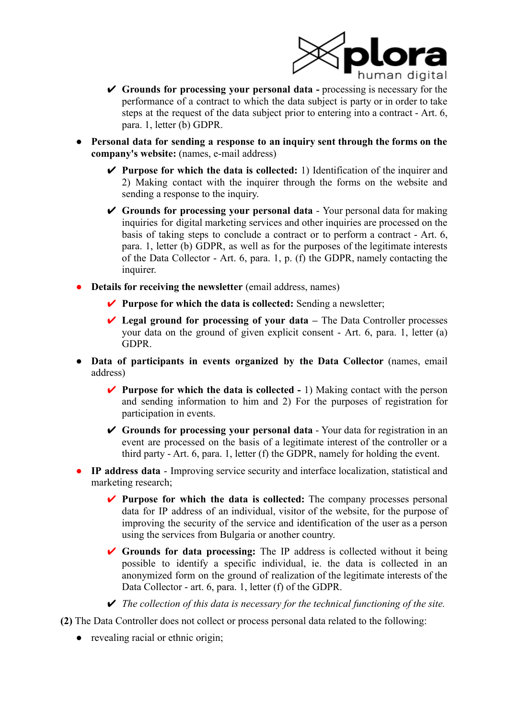

- ✔ **Grounds for processing your personal data -** processing is necessary for the performance of a contract to which the data subject is party or in order to take steps at the request of the data subject prior to entering into a contract - Art. 6, para. 1, letter (b) GDPR.
- **Personal data for sending a response to an inquiry sent through the forms on the company's website:** (names, e-mail address)
	- ✔ **Purpose for which the data is collected:** 1) Identification of the inquirer and 2) Making contact with the inquirer through the forms on the website and sending a response to the inquiry.
	- ✔ **Grounds for processing your personal data** Your personal data for making inquiries for digital marketing services and other inquiries are processed on the basis of taking steps to conclude a contract or to perform a contract - Art. 6, para. 1, letter (b) GDPR, as well as for the purposes of the legitimate interests of the Data Collector - Art. 6, para. 1, p. (f) the GDPR, namely contacting the inquirer.
- **Details for receiving the newsletter** (email address, names)
	- ✔ **Purpose for which the data is collected:** Sending a newsletter;
	- ✔ **Legal ground for processing of your data –** The Data Controller processes your data on the ground of given explicit consent - Art. 6, para. 1, letter (a) GDPR.
- **Data of participants in events organized by the Data Collector** (names, email address)
	- ✔ **Purpose for which the data is collected -** 1) Making contact with the person and sending information to him and 2) For the purposes of registration for participation in events.
	- ✔ **Grounds for processing your personal data** Your data for registration in an event are processed on the basis of a legitimate interest of the controller or a third party - Art. 6, para. 1, letter (f) the GDPR, namely for holding the event.
- **IP address data** Improving service security and interface localization, statistical and marketing research;
	- ✔ **Purpose for which the data is collected:** The company processes personal data for IP address of an individual, visitor of the website, for the purpose of improving the security of the service and identification of the user as a person using the services from Bulgaria or another country.
	- ✔ **Grounds for data processing:** The IP address is collected without it being possible to identify a specific individual, ie. the data is collected in an anonymized form on the ground of realization of the legitimate interests of the Data Collector - art. 6, para. 1, letter (f) of the GDPR.
	- ✔ *The collection of this data is necessary for the technical functioning of the site.*

**(2)** The Data Controller does not collect or process personal data related to the following:

• revealing racial or ethnic origin;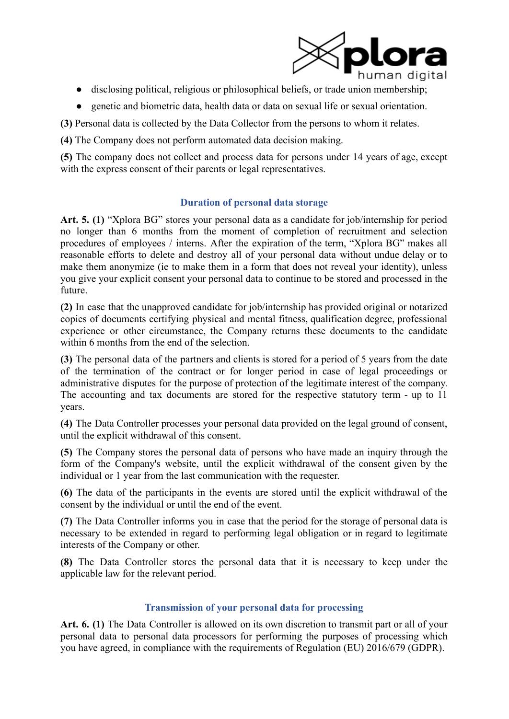

- disclosing political, religious or philosophical beliefs, or trade union membership;
- genetic and biometric data, health data or data on sexual life or sexual orientation.

**(3)** Personal data is collected by the Data Collector from the persons to whom it relates.

**(4)** The Company does not perform automated data decision making.

**(5)** The company does not collect and process data for persons under 14 years of age, except with the express consent of their parents or legal representatives.

# **Duration of personal data storage**

**Art. 5. (1)** "Xplora BG" stores your personal data as a candidate for job/internship for period no longer than 6 months from the moment of completion of recruitment and selection procedures of employees / interns. After the expiration of the term, "Xplora BG" makes all reasonable efforts to delete and destroy all of your personal data without undue delay or to make them anonymize (ie to make them in a form that does not reveal your identity), unless you give your explicit consent your personal data to continue to be stored and processed in the future.

**(2)** In case that the unapproved candidate for job/internship has provided original or notarized copies of documents certifying physical and mental fitness, qualification degree, professional experience or other circumstance, the Company returns these documents to the candidate within 6 months from the end of the selection.

**(3)** The personal data of the partners and clients is stored for a period of 5 years from the date of the termination of the contract or for longer period in case of legal proceedings or administrative disputes for the purpose of protection of the legitimate interest of the company. The accounting and tax documents are stored for the respective statutory term - up to 11 years.

**(4)** The Data Controller processes your personal data provided on the legal ground of consent, until the explicit withdrawal of this consent.

**(5)** The Company stores the personal data of persons who have made an inquiry through the form of the Company's website, until the explicit withdrawal of the consent given by the individual or 1 year from the last communication with the requester.

**(6)** The data of the participants in the events are stored until the explicit withdrawal of the consent by the individual or until the end of the event.

**(7)** The Data Controller informs you in case that the period for the storage of personal data is necessary to be extended in regard to performing legal obligation or in regard to legitimate interests of the Company or other.

**(8)** The Data Controller stores the personal data that it is necessary to keep under the applicable law for the relevant period.

# **Transmission of your personal data for processing**

**Art. 6. (1)** The Data Controller is allowed on its own discretion to transmit part or all of your personal data to personal data processors for performing the purposes of processing which you have agreed, in compliance with the requirements of Regulation (EU) 2016/679 (GDPR).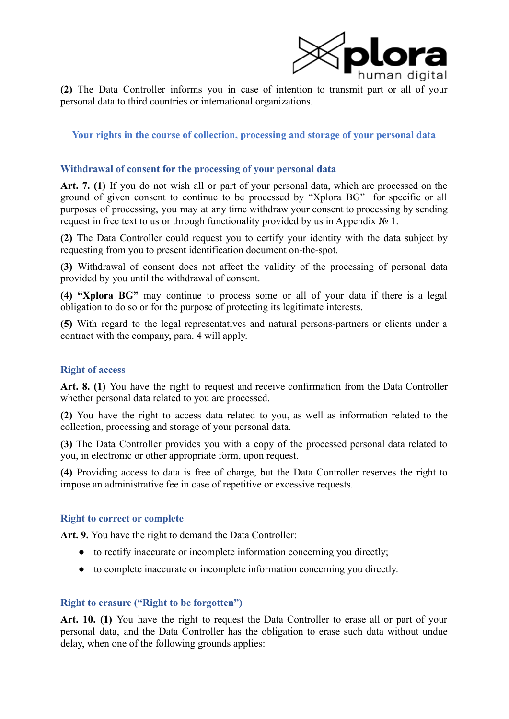

**(2)** The Data Controller informs you in case of intention to transmit part or all of your personal data to third countries or international organizations.

### **Your rights in the course of collection, processing and storage of your personal data**

#### **Withdrawal of consent for the processing of your personal data**

**Art. 7. (1)** If you do not wish all or part of your personal data, which are processed on the ground of given consent to continue to be processed by "Xplora BG" for specific or all purposes of processing, you may at any time withdraw your consent to processing by sending request in free text to us or through functionality provided by us in Appendix № 1.

**(2)** The Data Controller could request you to certify your identity with the data subject by requesting from you to present identification document on-the-spot.

**(3)** Withdrawal of consent does not affect the validity of the processing of personal data provided by you until the withdrawal of consent.

**(4) "Xplora BG"** may continue to process some or all of your data if there is a legal obligation to do so or for the purpose of protecting its legitimate interests.

**(5)** With regard to the legal representatives and natural persons-partners or clients under a contract with the company, para. 4 will apply.

#### **Right of access**

**Art. 8. (1)** You have the right to request and receive confirmation from the Data Controller whether personal data related to you are processed.

**(2)** You have the right to access data related to you, as well as information related to the collection, processing and storage of your personal data.

**(3)** The Data Controller provides you with a copy of the processed personal data related to you, in electronic or other appropriate form, upon request.

**(4)** Providing access to data is free of charge, but the Data Controller reserves the right to impose an administrative fee in case of repetitive or excessive requests.

#### **Right to correct or complete**

**Art. 9.** You have the right to demand the Data Controller:

- to rectify inaccurate or incomplete information concerning you directly;
- to complete inaccurate or incomplete information concerning you directly.

#### **Right to erasure ("Right to be forgotten")**

**Art. 10. (1)** You have the right to request the Data Controller to erase all or part of your personal data, and the Data Controller has the obligation to erase such data without undue delay, when one of the following grounds applies: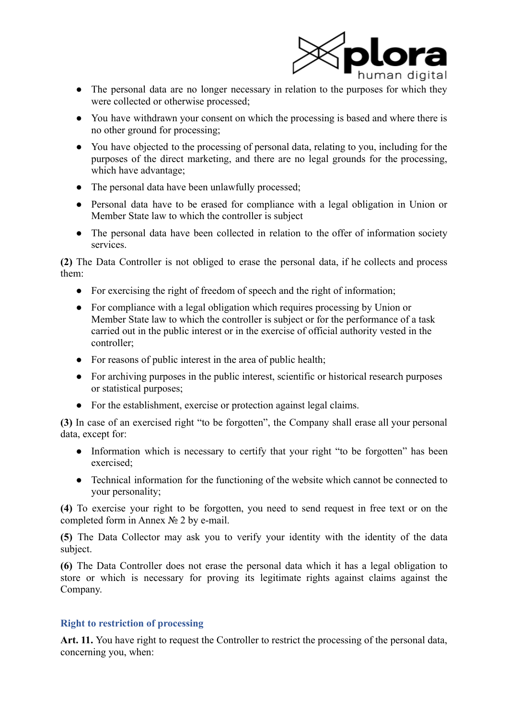

- The personal data are no longer necessary in relation to the purposes for which they were collected or otherwise processed;
- You have withdrawn your consent on which the processing is based and where there is no other ground for processing;
- You have objected to the processing of personal data, relating to you, including for the purposes of the direct marketing, and there are no legal grounds for the processing, which have advantage;
- The personal data have been unlawfully processed;
- Personal data have to be erased for compliance with a legal obligation in Union or Member State law to which the controller is subject
- The personal data have been collected in relation to the offer of information society services.

**(2)** The Data Controller is not obliged to erase the personal data, if he collects and process them:

- For exercising the right of freedom of speech and the right of information;
- For compliance with a legal obligation which requires processing by Union or Member State law to which the controller is subject or for the performance of a task carried out in the public interest or in the exercise of official authority vested in the controller;
- For reasons of public interest in the area of public health;
- For archiving purposes in the public interest, scientific or historical research purposes or statistical purposes;
- For the establishment, exercise or protection against legal claims.

**(3)** In case of an exercised right "to be forgotten", the Company shall erase all your personal data, except for:

- Information which is necessary to certify that your right "to be forgotten" has been exercised;
- Technical information for the functioning of the website which cannot be connected to your personality;

**(4)** To exercise your right to be forgotten, you need to send request in free text or on the completed form in Annex № 2 by e-mail.

**(5)** The Data Collector may ask you to verify your identity with the identity of the data subject.

**(6)** The Data Controller does not erase the personal data which it has a legal obligation to store or which is necessary for proving its legitimate rights against claims against the Company.

# **Right to restriction of processing**

**Art. 11.** You have right to request the Controller to restrict the processing of the personal data, concerning you, when: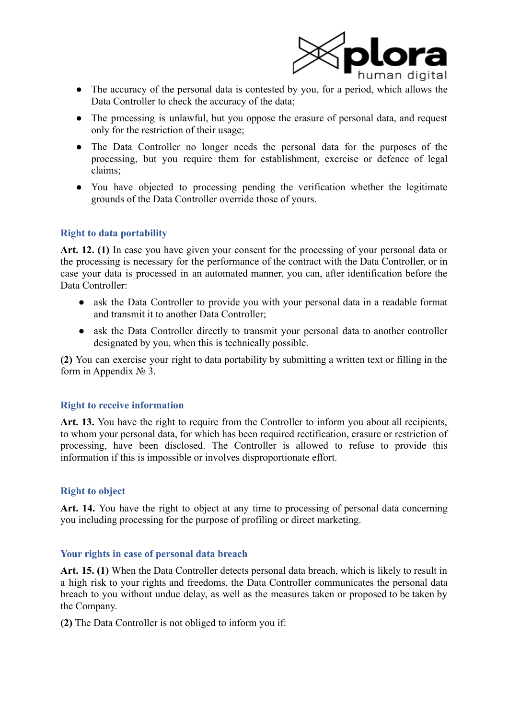

- The accuracy of the personal data is contested by you, for a period, which allows the Data Controller to check the accuracy of the data;
- The processing is unlawful, but you oppose the erasure of personal data, and request only for the restriction of their usage;
- The Data Controller no longer needs the personal data for the purposes of the processing, but you require them for establishment, exercise or defence of legal claims;
- You have objected to processing pending the verification whether the legitimate grounds of the Data Controller override those of yours.

### **Right to data portability**

**Art. 12. (1)** In case you have given your consent for the processing of your personal data or the processing is necessary for the performance of the contract with the Data Controller, or in case your data is processed in an automated manner, you can, after identification before the Data Controller:

- ask the Data Controller to provide you with your personal data in a readable format and transmit it to another Data Controller;
- ask the Data Controller directly to transmit your personal data to another controller designated by you, when this is technically possible.

**(2)** You can exercise your right to data portability by submitting a written text or filling in the form in Appendix  $N_2$  3.

#### **Right to receive information**

**Art. 13.** You have the right to require from the Controller to inform you about all recipients, to whom your personal data, for which has been required rectification, erasure or restriction of processing, have been disclosed. The Controller is allowed to refuse to provide this information if this is impossible or involves disproportionate effort.

### **Right to object**

**Art. 14.** You have the right to object at any time to processing of personal data concerning you including processing for the purpose of profiling or direct marketing.

#### **Your rights in case of personal data breach**

**Art. 15. (1)** When the Data Controller detects personal data breach, which is likely to result in a high risk to your rights and freedoms, the Data Controller communicates the personal data breach to you without undue delay, as well as the measures taken or proposed to be taken by the Company.

**(2)** The Data Controller is not obliged to inform you if: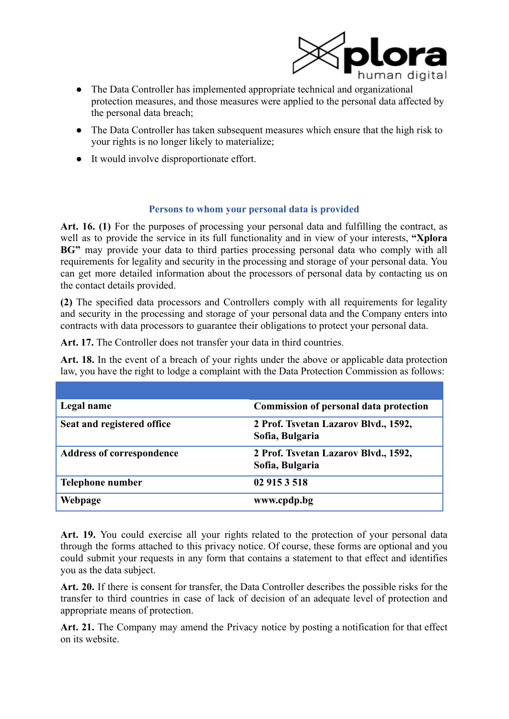

- The Data Controller has implemented appropriate technical and organizational protection measures, and those measures were applied to the personal data affected by the personal data breach;
- The Data Controller has taken subsequent measures which ensure that the high risk to your rights is no longer likely to materialize;
- It would involve disproportionate effort.

### **Persons to whom your personal data is provided**

**Art. 16. (1)** For the purposes of processing your personal data and fulfilling the contract, as well as to provide the service in its full functionality and in view of your interests, **"Xplora BG"** may provide your data to third parties processing personal data who comply with all requirements for legality and security in the processing and storage of your personal data. You can get more detailed information about the processors of personal data by contacting us on the contact details provided.

**(2)** The specified data processors and Controllers comply with all requirements for legality and security in the processing and storage of your personal data and the Company enters into contracts with data processors to guarantee their obligations to protect your personal data.

**Art. 17.** The Controller does not transfer your data in third countries.

**Art. 18.** In the event of a breach of your rights under the above or applicable data protection law, you have the right to lodge a complaint with the Data Protection Commission as follows:

| Legal name                       | <b>Commission of personal data protection</b>           |
|----------------------------------|---------------------------------------------------------|
| Seat and registered office       | 2 Prof. Tsvetan Lazarov Blvd., 1592,<br>Sofia, Bulgaria |
| <b>Address of correspondence</b> | 2 Prof. Tsvetan Lazarov Blvd., 1592,<br>Sofia, Bulgaria |
| <b>Telephone number</b>          | 02 915 3 518                                            |
| Webpage                          | www.cpdp.bg                                             |

**Art. 19.** You could exercise all your rights related to the protection of your personal data through the forms attached to this privacy notice. Of course, these forms are optional and you could submit your requests in any form that contains a statement to that effect and identifies you as the data subject.

**Art. 20.** If there is consent for transfer, the Data Controller describes the possible risks for the transfer to third countries in case of lack of decision of an adequate level of protection and appropriate means of protection.

**Art. 21.** The Company may amend the Privacy notice by posting a notification for that effect on its website.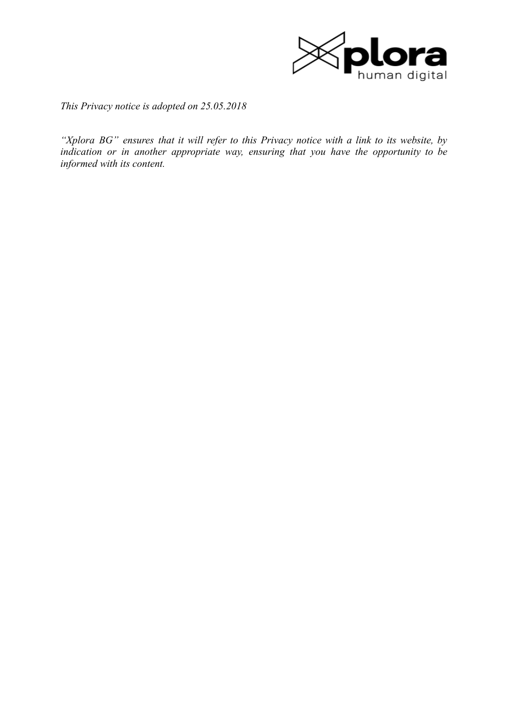

*This Privacy notice is adopted on 25.05.2018*

*"Xplora BG" ensures that it will refer to this Privacy notice with a link to its website, by indication or in another appropriate way, ensuring that you have the opportunity to be informed with its content.*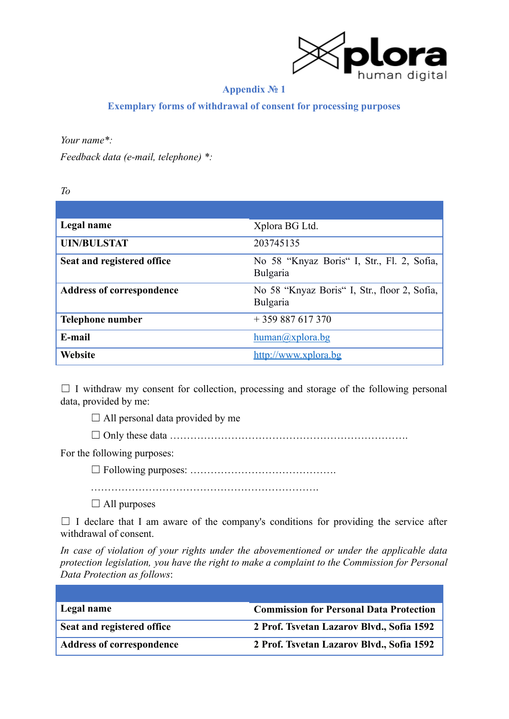

# **Appendix № 1**

**Exemplary forms of withdrawal of consent for processing purposes**

*Your name\*:*

*Feedback data (e-mail, telephone) \*:*

*To*

| Legal name                       | Xplora BG Ltd.                                           |
|----------------------------------|----------------------------------------------------------|
| <b>UIN/BULSTAT</b>               | 203745135                                                |
| Seat and registered office       | No 58 "Knyaz Boris" I, Str., Fl. 2, Sofia,<br>Bulgaria   |
| <b>Address of correspondence</b> | No 58 "Knyaz Boris" I, Str., floor 2, Sofia,<br>Bulgaria |
| <b>Telephone number</b>          | $+359887617370$                                          |
| E-mail                           | $human(a)$ xplora.bg                                     |
| <b>Website</b>                   | http://www.xplora.bg                                     |

 $\Box$  I withdraw my consent for collection, processing and storage of the following personal data, provided by me:

 $\Box$  All personal data provided by me

 $\Box$  Only these data  $\ldots$  .  $\ldots$   $\ldots$   $\ldots$   $\ldots$   $\ldots$   $\ldots$   $\ldots$   $\ldots$   $\ldots$   $\ldots$   $\ldots$ 

For the following purposes:

☐ Following purposes: …………………………………….

………………………………………………………….

 $\Box$  All purposes

 $\Box$  I declare that I am aware of the company's conditions for providing the service after withdrawal of consent.

*In case of violation of your rights under the abovementioned or under the applicable data protection legislation, you have the right to make a complaint to the Commission for Personal Data Protection as follows*:

| Legal name                       | <b>Commission for Personal Data Protection</b> |
|----------------------------------|------------------------------------------------|
| Seat and registered office       | 2 Prof. Tsvetan Lazarov Blvd., Sofia 1592      |
| <b>Address of correspondence</b> | 2 Prof. Tsvetan Lazarov Blvd., Sofia 1592      |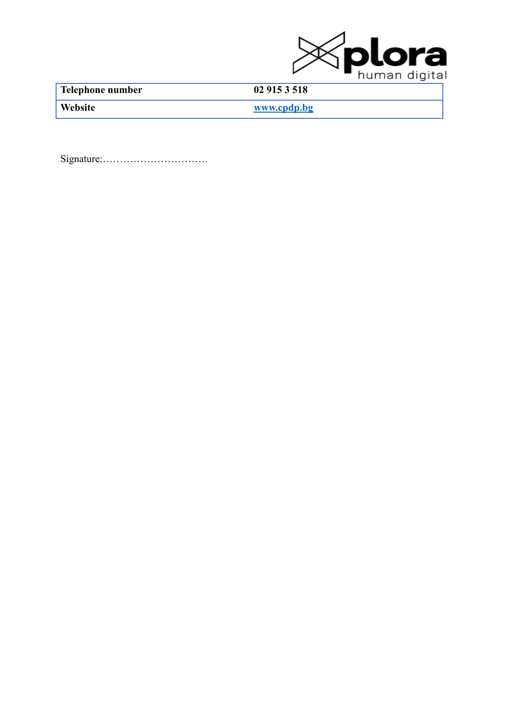

**Telephone number 02 915 3 518**

**Website [www.cpdp.bg](http://www.cpdp.bg)**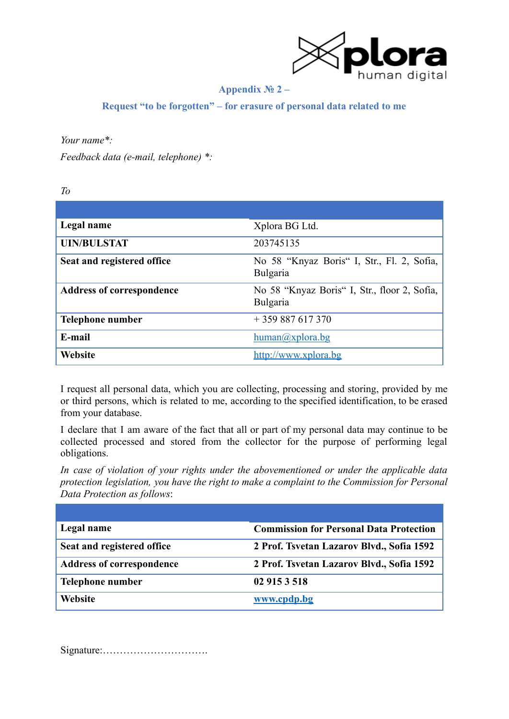

### **Appendix № 2 –**

**Request "to be forgotten" – for erasure of personal data related to me**

### *Your name\*:*

*Feedback data (e-mail, telephone) \*:*

*To*

| Legal name                       | Xplora BG Ltd.                                           |
|----------------------------------|----------------------------------------------------------|
| <b>UIN/BULSTAT</b>               | 203745135                                                |
| Seat and registered office       | No 58 "Knyaz Boris" I, Str., Fl. 2, Sofia,<br>Bulgaria   |
| <b>Address of correspondence</b> | No 58 "Knyaz Boris" I, Str., floor 2, Sofia,<br>Bulgaria |
| <b>Telephone number</b>          | $+359887617370$                                          |
| E-mail                           | $human(a)$ xplora.bg                                     |
| <b>Website</b>                   | http://www.xplora.bg                                     |

I request all personal data, which you are collecting, processing and storing, provided by me or third persons, which is related to me, according to the specified identification, to be erased from your database.

I declare that I am aware of the fact that all or part of my personal data may continue to be collected processed and stored from the collector for the purpose of performing legal obligations.

*In case of violation of your rights under the abovementioned or under the applicable data protection legislation, you have the right to make a complaint to the Commission for Personal Data Protection as follows*:

| Legal name                       | <b>Commission for Personal Data Protection</b> |
|----------------------------------|------------------------------------------------|
| Seat and registered office       | 2 Prof. Tsvetan Lazarov Blvd., Sofia 1592      |
| <b>Address of correspondence</b> | 2 Prof. Tsvetan Lazarov Blvd., Sofia 1592      |
| Telephone number                 | 02 915 3 518                                   |
| Website                          | www.cpdp.bg                                    |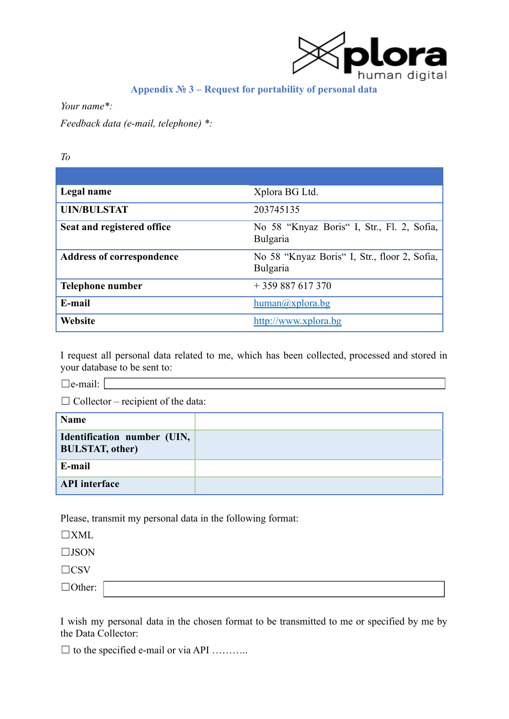

# **Appendix № 3 – Request for portability of personal data**

*Your name\*:*

*Feedback data (e-mail, telephone) \*:*

*To*

| Legal name                       | Xplora BG Ltd.                                           |
|----------------------------------|----------------------------------------------------------|
| <b>UIN/BULSTAT</b>               | 203745135                                                |
| Seat and registered office       | No 58 "Knyaz Boris" I, Str., Fl. 2, Sofia,<br>Bulgaria   |
| <b>Address of correspondence</b> | No 58 "Knyaz Boris" I, Str., floor 2, Sofia,<br>Bulgaria |
| Telephone number                 | $+359887617370$                                          |
| E-mail                           | $human(a)$ xplora.bg                                     |
| Website                          | http://www.xplora.bg                                     |

I request all personal data related to me, which has been collected, processed and stored in your database to be sent to:

 $\Box$ e-mail:  $\Box$ 

 $\Box$  Collector – recipient of the data:

| <b>Name</b>                                           |  |
|-------------------------------------------------------|--|
| Identification number (UIN,<br><b>BULSTAT, other)</b> |  |
| E-mail                                                |  |
| <b>API</b> interface                                  |  |

Please, transmit my personal data in the following format:

☐XML

☐JSON

 $\Box$ CSV

☐Other:

I wish my personal data in the chosen format to be transmitted to me or specified by me by the Data Collector:

 $\Box$  to the specified e-mail or via API ............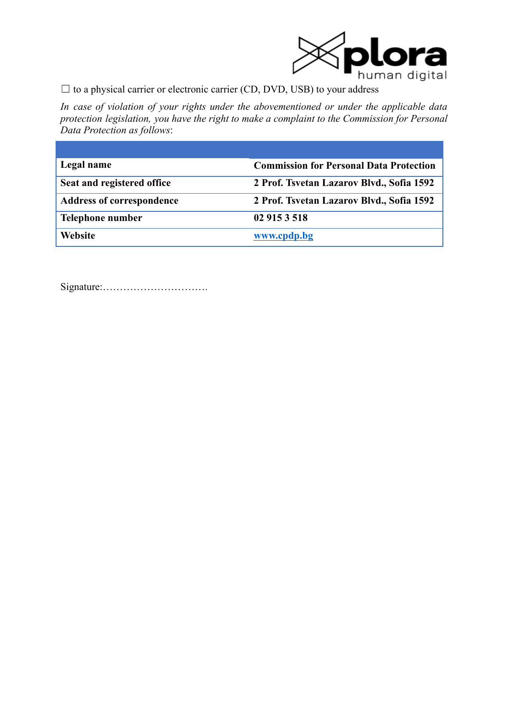

 $\Box$  to a physical carrier or electronic carrier (CD, DVD, USB) to your address

*In case of violation of your rights under the abovementioned or under the applicable data protection legislation, you have the right to make a complaint to the Commission for Personal Data Protection as follows*:

| Legal name                       | <b>Commission for Personal Data Protection</b> |
|----------------------------------|------------------------------------------------|
| Seat and registered office       | 2 Prof. Tsvetan Lazarov Blvd., Sofia 1592      |
| <b>Address of correspondence</b> | 2 Prof. Tsvetan Lazarov Blvd., Sofia 1592      |
| Telephone number                 | 02 915 3 518                                   |
| <b>Website</b>                   | www.cpdp.bg                                    |